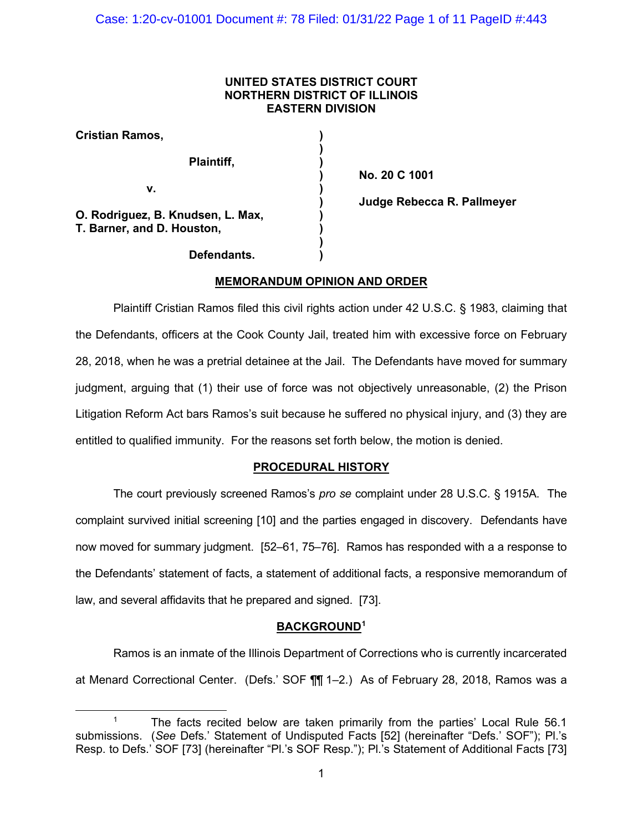## **UNITED STATES DISTRICT COURT NORTHERN DISTRICT OF ILLINOIS EASTERN DIVISION**

| Cristian Ramos,                                                 |  |
|-----------------------------------------------------------------|--|
| Plaintiff,                                                      |  |
| v.                                                              |  |
| O. Rodriguez, B. Knudsen, L. Max,<br>T. Barner, and D. Houston, |  |
| Defendants.                                                     |  |

**) No. 20 C 1001 ) Judge Rebecca R. Pallmeyer**

# **MEMORANDUM OPINION AND ORDER**

Plaintiff Cristian Ramos filed this civil rights action under 42 U.S.C. § 1983, claiming that the Defendants, officers at the Cook County Jail, treated him with excessive force on February 28, 2018, when he was a pretrial detainee at the Jail. The Defendants have moved for summary judgment, arguing that (1) their use of force was not objectively unreasonable, (2) the Prison Litigation Reform Act bars Ramos's suit because he suffered no physical injury, and (3) they are entitled to qualified immunity. For the reasons set forth below, the motion is denied.

# **PROCEDURAL HISTORY**

The court previously screened Ramos's *pro se* complaint under 28 U.S.C. § 1915A. The complaint survived initial screening [10] and the parties engaged in discovery. Defendants have now moved for summary judgment. [52–61, 75–76]. Ramos has responded with a a response to the Defendants' statement of facts, a statement of additional facts, a responsive memorandum of law, and several affidavits that he prepared and signed. [73].

## **BACKGROUND[1](#page-0-0)**

Ramos is an inmate of the Illinois Department of Corrections who is currently incarcerated at Menard Correctional Center. (Defs.' SOF ¶¶ 1–2.) As of February 28, 2018, Ramos was a

<span id="page-0-0"></span><sup>1</sup> The facts recited below are taken primarily from the parties' Local Rule 56.1 submissions. (*See* Defs.' Statement of Undisputed Facts [52] (hereinafter "Defs.' SOF"); Pl.'s Resp. to Defs.' SOF [73] (hereinafter "Pl.'s SOF Resp."); Pl.'s Statement of Additional Facts [73]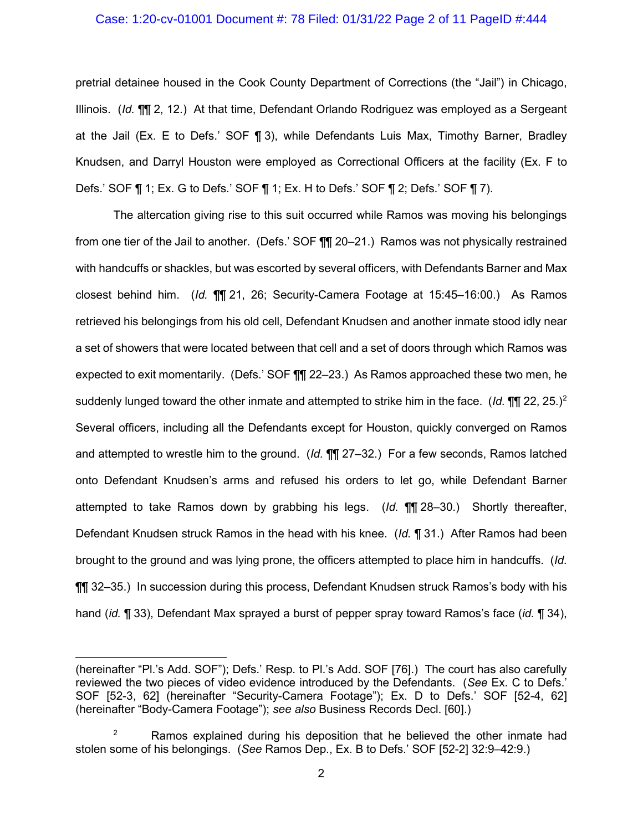# Case: 1:20-cv-01001 Document #: 78 Filed: 01/31/22 Page 2 of 11 PageID #:444

pretrial detainee housed in the Cook County Department of Corrections (the "Jail") in Chicago, Illinois. (*Id.* ¶¶ 2, 12.) At that time, Defendant Orlando Rodriguez was employed as a Sergeant at the Jail (Ex. E to Defs.' SOF ¶ 3), while Defendants Luis Max, Timothy Barner, Bradley Knudsen, and Darryl Houston were employed as Correctional Officers at the facility (Ex. F to Defs.' SOF ¶ 1; Ex. G to Defs.' SOF ¶ 1; Ex. H to Defs.' SOF ¶ 2; Defs.' SOF ¶ 7).

The altercation giving rise to this suit occurred while Ramos was moving his belongings from one tier of the Jail to another. (Defs.' SOF ¶¶ 20–21.) Ramos was not physically restrained with handcuffs or shackles, but was escorted by several officers, with Defendants Barner and Max closest behind him. (*Id.* ¶¶ 21, 26; Security-Camera Footage at 15:45–16:00.) As Ramos retrieved his belongings from his old cell, Defendant Knudsen and another inmate stood idly near a set of showers that were located between that cell and a set of doors through which Ramos was expected to exit momentarily. (Defs.' SOF ¶¶ 22–23.) As Ramos approached these two men, he suddenly lunged toward the other inmate and attempted to strike him in the face. (*Id.* ¶¶ 22, 25.)[2](#page-1-0) Several officers, including all the Defendants except for Houston, quickly converged on Ramos and attempted to wrestle him to the ground. (*Id.* ¶¶ 27–32.) For a few seconds, Ramos latched onto Defendant Knudsen's arms and refused his orders to let go, while Defendant Barner attempted to take Ramos down by grabbing his legs. (*Id.* ¶¶ 28–30.) Shortly thereafter, Defendant Knudsen struck Ramos in the head with his knee. (*Id.* ¶ 31.) After Ramos had been brought to the ground and was lying prone, the officers attempted to place him in handcuffs. (*Id.*  ¶¶ 32–35.) In succession during this process, Defendant Knudsen struck Ramos's body with his hand (*id.* ¶ 33), Defendant Max sprayed a burst of pepper spray toward Ramos's face (*id.* ¶ 34),

<sup>(</sup>hereinafter "Pl.'s Add. SOF"); Defs.' Resp. to Pl.'s Add. SOF [76].) The court has also carefully reviewed the two pieces of video evidence introduced by the Defendants. (*See* Ex. C to Defs.' SOF [52-3, 62] (hereinafter "Security-Camera Footage"); Ex. D to Defs.' SOF [52-4, 62] (hereinafter "Body-Camera Footage"); *see also* Business Records Decl. [60].)

<span id="page-1-0"></span> $2^2$  Ramos explained during his deposition that he believed the other inmate had stolen some of his belongings. (*See* Ramos Dep., Ex. B to Defs.' SOF [52-2] 32:9–42:9.)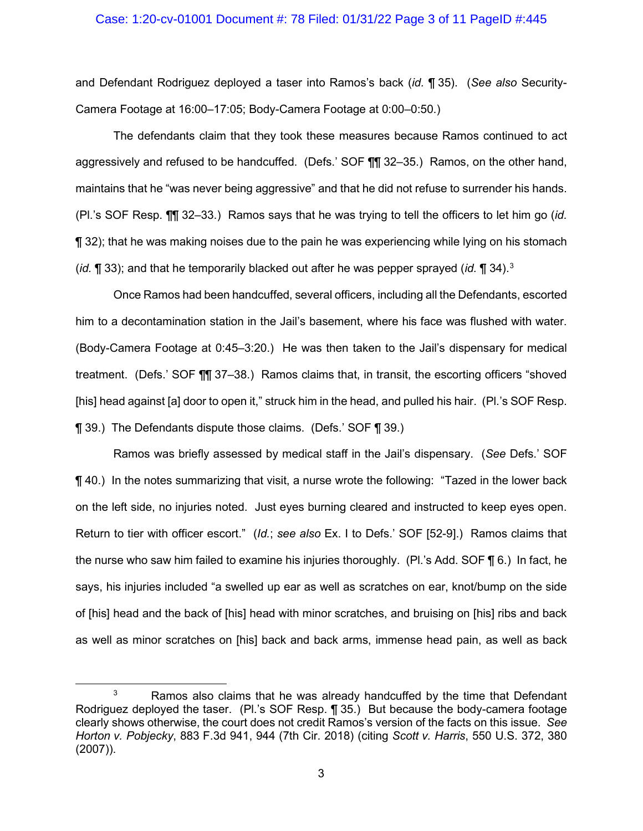# Case: 1:20-cv-01001 Document #: 78 Filed: 01/31/22 Page 3 of 11 PageID #:445

and Defendant Rodriguez deployed a taser into Ramos's back (*id.* ¶ 35). (*See also* Security-Camera Footage at 16:00–17:05; Body-Camera Footage at 0:00–0:50.)

The defendants claim that they took these measures because Ramos continued to act aggressively and refused to be handcuffed. (Defs.' SOF ¶¶ 32–35.) Ramos, on the other hand, maintains that he "was never being aggressive" and that he did not refuse to surrender his hands. (Pl.'s SOF Resp. ¶¶ 32–33.) Ramos says that he was trying to tell the officers to let him go (*id.* ¶ 32); that he was making noises due to the pain he was experiencing while lying on his stomach (*id.* ¶ 33); and that he temporarily blacked out after he was pepper sprayed (*id.* ¶ 34).[3](#page-2-0)

Once Ramos had been handcuffed, several officers, including all the Defendants, escorted him to a decontamination station in the Jail's basement, where his face was flushed with water. (Body-Camera Footage at 0:45–3:20.) He was then taken to the Jail's dispensary for medical treatment. (Defs.' SOF ¶¶ 37–38.) Ramos claims that, in transit, the escorting officers "shoved [his] head against [a] door to open it," struck him in the head, and pulled his hair. (Pl.'s SOF Resp. ¶ 39.) The Defendants dispute those claims. (Defs.' SOF ¶ 39.)

Ramos was briefly assessed by medical staff in the Jail's dispensary. (*See* Defs.' SOF ¶ 40.) In the notes summarizing that visit, a nurse wrote the following: "Tazed in the lower back on the left side, no injuries noted. Just eyes burning cleared and instructed to keep eyes open. Return to tier with officer escort." (*Id.*; *see also* Ex. I to Defs.' SOF [52-9].) Ramos claims that the nurse who saw him failed to examine his injuries thoroughly. (Pl.'s Add. SOF ¶ 6.) In fact, he says, his injuries included "a swelled up ear as well as scratches on ear, knot/bump on the side of [his] head and the back of [his] head with minor scratches, and bruising on [his] ribs and back as well as minor scratches on [his] back and back arms, immense head pain, as well as back

<span id="page-2-0"></span> $3$  Ramos also claims that he was already handcuffed by the time that Defendant Rodriguez deployed the taser. (Pl.'s SOF Resp. ¶ 35.) But because the body-camera footage clearly shows otherwise, the court does not credit Ramos's version of the facts on this issue. *See Horton v. Pobjecky*, 883 F.3d 941, 944 (7th Cir. 2018) (citing *Scott v. Harris*, 550 U.S. 372, 380 (2007)).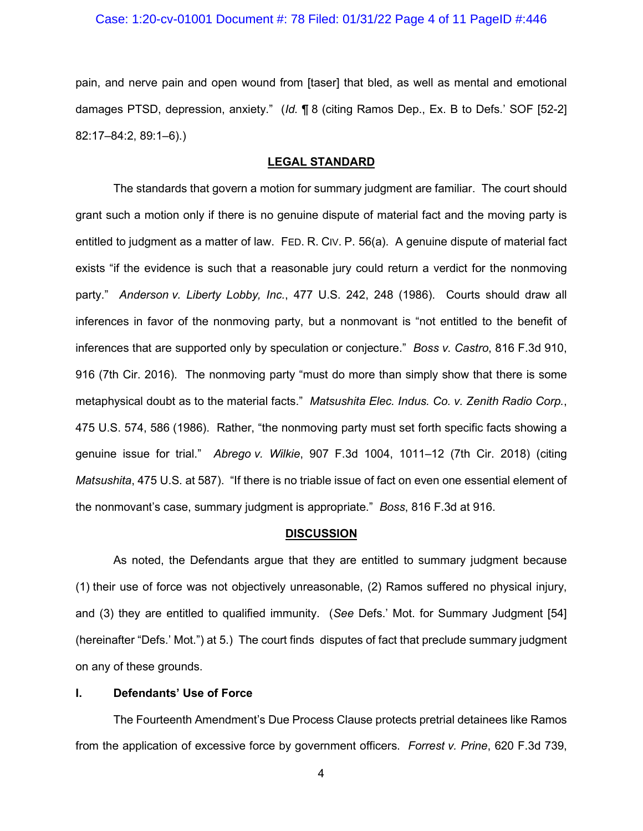#### Case: 1:20-cv-01001 Document #: 78 Filed: 01/31/22 Page 4 of 11 PageID #:446

pain, and nerve pain and open wound from [taser] that bled, as well as mental and emotional damages PTSD, depression, anxiety." (*Id.* ¶ 8 (citing Ramos Dep., Ex. B to Defs.' SOF [52-2] 82:17–84:2, 89:1–6).)

#### **LEGAL STANDARD**

The standards that govern a motion for summary judgment are familiar. The court should grant such a motion only if there is no genuine dispute of material fact and the moving party is entitled to judgment as a matter of law. FED. R. CIV. P. 56(a). A genuine dispute of material fact exists "if the evidence is such that a reasonable jury could return a verdict for the nonmoving party." *Anderson v. Liberty Lobby, Inc.*, 477 U.S. 242, 248 (1986). Courts should draw all inferences in favor of the nonmoving party, but a nonmovant is "not entitled to the benefit of inferences that are supported only by speculation or conjecture." *Boss v. Castro*, 816 F.3d 910, 916 (7th Cir. 2016). The nonmoving party "must do more than simply show that there is some metaphysical doubt as to the material facts." *Matsushita Elec. Indus. Co. v. Zenith Radio Corp.*, 475 U.S. 574, 586 (1986). Rather, "the nonmoving party must set forth specific facts showing a genuine issue for trial." *Abrego v. Wilkie*, 907 F.3d 1004, 1011–12 (7th Cir. 2018) (citing *Matsushita*, 475 U.S. at 587). "If there is no triable issue of fact on even one essential element of the nonmovant's case, summary judgment is appropriate." *Boss*, 816 F.3d at 916.

#### **DISCUSSION**

As noted, the Defendants argue that they are entitled to summary judgment because (1) their use of force was not objectively unreasonable, (2) Ramos suffered no physical injury, and (3) they are entitled to qualified immunity. (*See* Defs.' Mot. for Summary Judgment [54] (hereinafter "Defs.' Mot.") at 5.) The court finds disputes of fact that preclude summary judgment on any of these grounds.

### **I. Defendants' Use of Force**

The Fourteenth Amendment's Due Process Clause protects pretrial detainees like Ramos from the application of excessive force by government officers. *Forrest v. Prine*, 620 F.3d 739,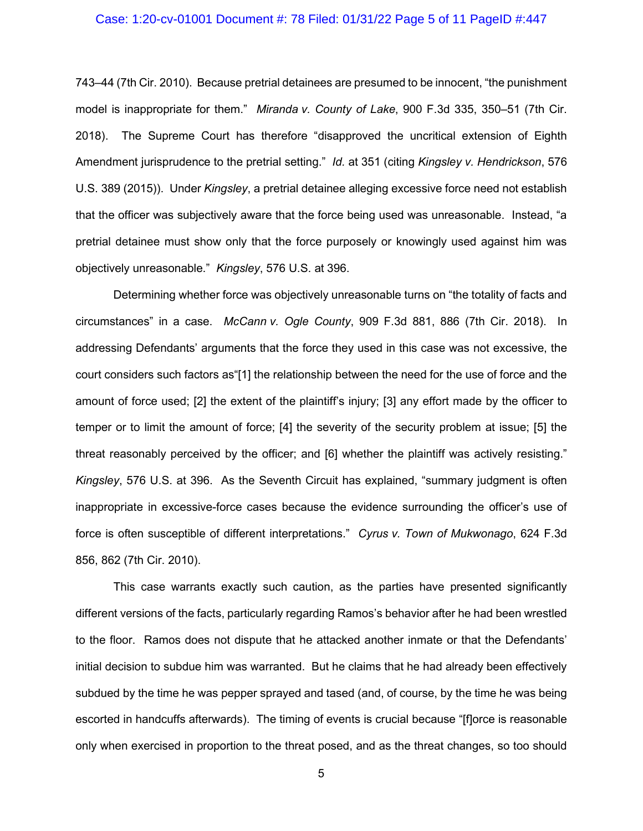### Case: 1:20-cv-01001 Document #: 78 Filed: 01/31/22 Page 5 of 11 PageID #:447

743–44 (7th Cir. 2010). Because pretrial detainees are presumed to be innocent, "the punishment model is inappropriate for them." *Miranda v. County of Lake*, 900 F.3d 335, 350–51 (7th Cir. 2018). The Supreme Court has therefore "disapproved the uncritical extension of Eighth Amendment jurisprudence to the pretrial setting." *Id.* at 351 (citing *Kingsley v. Hendrickson*, 576 U.S. 389 (2015)). Under *Kingsley*, a pretrial detainee alleging excessive force need not establish that the officer was subjectively aware that the force being used was unreasonable. Instead, "a pretrial detainee must show only that the force purposely or knowingly used against him was objectively unreasonable." *Kingsley*, 576 U.S. at 396.

Determining whether force was objectively unreasonable turns on "the totality of facts and circumstances" in a case. *McCann v. Ogle County*, 909 F.3d 881, 886 (7th Cir. 2018). In addressing Defendants' arguments that the force they used in this case was not excessive, the court considers such factors as"[1] the relationship between the need for the use of force and the amount of force used; [2] the extent of the plaintiff's injury; [3] any effort made by the officer to temper or to limit the amount of force; [4] the severity of the security problem at issue; [5] the threat reasonably perceived by the officer; and [6] whether the plaintiff was actively resisting." *Kingsley*, 576 U.S. at 396. As the Seventh Circuit has explained, "summary judgment is often inappropriate in excessive-force cases because the evidence surrounding the officer's use of force is often susceptible of different interpretations." *Cyrus v. Town of Mukwonago*, 624 F.3d 856, 862 (7th Cir. 2010).

This case warrants exactly such caution, as the parties have presented significantly different versions of the facts, particularly regarding Ramos's behavior after he had been wrestled to the floor. Ramos does not dispute that he attacked another inmate or that the Defendants' initial decision to subdue him was warranted. But he claims that he had already been effectively subdued by the time he was pepper sprayed and tased (and, of course, by the time he was being escorted in handcuffs afterwards). The timing of events is crucial because "[f]orce is reasonable only when exercised in proportion to the threat posed, and as the threat changes, so too should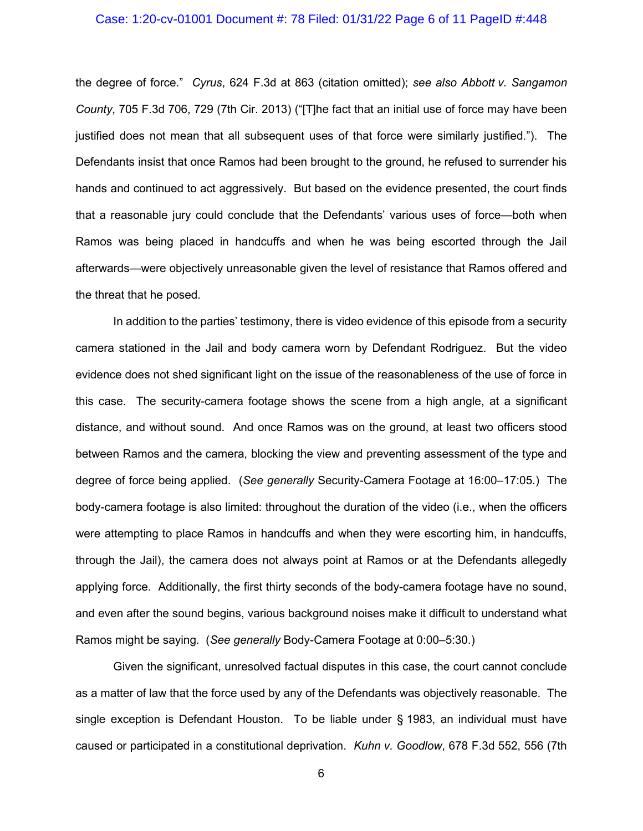### Case: 1:20-cv-01001 Document #: 78 Filed: 01/31/22 Page 6 of 11 PageID #:448

the degree of force." *Cyrus*, 624 F.3d at 863 (citation omitted); *see also Abbott v. Sangamon County*, 705 F.3d 706, 729 (7th Cir. 2013) ("[T]he fact that an initial use of force may have been justified does not mean that all subsequent uses of that force were similarly justified."). The Defendants insist that once Ramos had been brought to the ground, he refused to surrender his hands and continued to act aggressively. But based on the evidence presented, the court finds that a reasonable jury could conclude that the Defendants' various uses of force—both when Ramos was being placed in handcuffs and when he was being escorted through the Jail afterwards—were objectively unreasonable given the level of resistance that Ramos offered and the threat that he posed.

In addition to the parties' testimony, there is video evidence of this episode from a security camera stationed in the Jail and body camera worn by Defendant Rodriguez. But the video evidence does not shed significant light on the issue of the reasonableness of the use of force in this case. The security-camera footage shows the scene from a high angle, at a significant distance, and without sound. And once Ramos was on the ground, at least two officers stood between Ramos and the camera, blocking the view and preventing assessment of the type and degree of force being applied. (*See generally* Security-Camera Footage at 16:00–17:05.) The body-camera footage is also limited: throughout the duration of the video (i.e., when the officers were attempting to place Ramos in handcuffs and when they were escorting him, in handcuffs, through the Jail), the camera does not always point at Ramos or at the Defendants allegedly applying force. Additionally, the first thirty seconds of the body-camera footage have no sound, and even after the sound begins, various background noises make it difficult to understand what Ramos might be saying. (*See generally* Body-Camera Footage at 0:00–5:30.)

Given the significant, unresolved factual disputes in this case, the court cannot conclude as a matter of law that the force used by any of the Defendants was objectively reasonable. The single exception is Defendant Houston. To be liable under § 1983, an individual must have caused or participated in a constitutional deprivation. *Kuhn v. Goodlow*, 678 F.3d 552, 556 (7th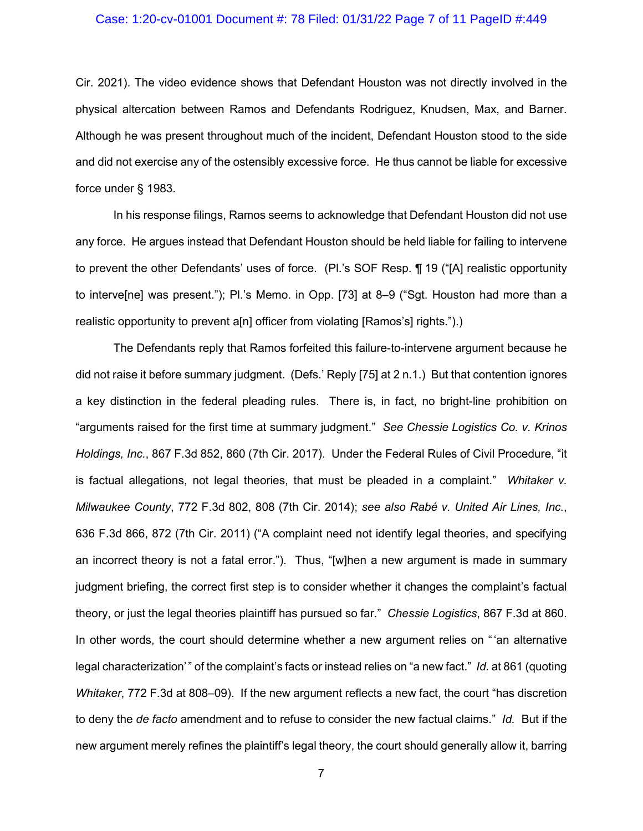### Case: 1:20-cv-01001 Document #: 78 Filed: 01/31/22 Page 7 of 11 PageID #:449

Cir. 2021). The video evidence shows that Defendant Houston was not directly involved in the physical altercation between Ramos and Defendants Rodriguez, Knudsen, Max, and Barner. Although he was present throughout much of the incident, Defendant Houston stood to the side and did not exercise any of the ostensibly excessive force. He thus cannot be liable for excessive force under § 1983.

In his response filings, Ramos seems to acknowledge that Defendant Houston did not use any force. He argues instead that Defendant Houston should be held liable for failing to intervene to prevent the other Defendants' uses of force. (Pl.'s SOF Resp. ¶ 19 ("[A] realistic opportunity to interve[ne] was present."); Pl.'s Memo. in Opp. [73] at 8–9 ("Sgt. Houston had more than a realistic opportunity to prevent a[n] officer from violating [Ramos's] rights.").)

The Defendants reply that Ramos forfeited this failure-to-intervene argument because he did not raise it before summary judgment. (Defs.' Reply [75] at 2 n.1.) But that contention ignores a key distinction in the federal pleading rules. There is, in fact, no bright-line prohibition on "arguments raised for the first time at summary judgment." *See Chessie Logistics Co. v. Krinos Holdings, Inc.*, 867 F.3d 852, 860 (7th Cir. 2017). Under the Federal Rules of Civil Procedure, "it is factual allegations, not legal theories, that must be pleaded in a complaint." *Whitaker v. Milwaukee County*, 772 F.3d 802, 808 (7th Cir. 2014); *see also Rabé v. United Air Lines, Inc.*, 636 F.3d 866, 872 (7th Cir. 2011) ("A complaint need not identify legal theories, and specifying an incorrect theory is not a fatal error."). Thus, "[w]hen a new argument is made in summary judgment briefing, the correct first step is to consider whether it changes the complaint's factual theory, or just the legal theories plaintiff has pursued so far." *Chessie Logistics*, 867 F.3d at 860. In other words, the court should determine whether a new argument relies on "'an alternative legal characterization'" of the complaint's facts or instead relies on "a new fact." *Id.* at 861 (quoting *Whitaker*, 772 F.3d at 808–09). If the new argument reflects a new fact, the court "has discretion to deny the *de facto* amendment and to refuse to consider the new factual claims." *Id.* But if the new argument merely refines the plaintiff's legal theory, the court should generally allow it, barring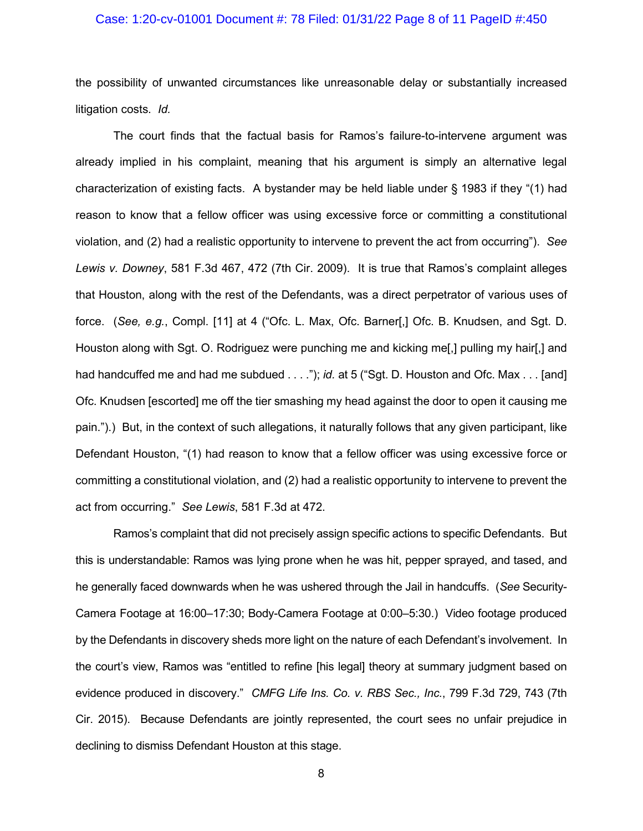### Case: 1:20-cv-01001 Document #: 78 Filed: 01/31/22 Page 8 of 11 PageID #:450

the possibility of unwanted circumstances like unreasonable delay or substantially increased litigation costs. *Id.*

The court finds that the factual basis for Ramos's failure-to-intervene argument was already implied in his complaint, meaning that his argument is simply an alternative legal characterization of existing facts. A bystander may be held liable under § 1983 if they "(1) had reason to know that a fellow officer was using excessive force or committing a constitutional violation, and (2) had a realistic opportunity to intervene to prevent the act from occurring"). *See Lewis v. Downey*, 581 F.3d 467, 472 (7th Cir. 2009). It is true that Ramos's complaint alleges that Houston, along with the rest of the Defendants, was a direct perpetrator of various uses of force. (*See, e.g.*, Compl. [11] at 4 ("Ofc. L. Max, Ofc. Barner[,] Ofc. B. Knudsen, and Sgt. D. Houston along with Sgt. O. Rodriguez were punching me and kicking me[,] pulling my hair[,] and had handcuffed me and had me subdued . . . ."); *id.* at 5 ("Sgt. D. Houston and Ofc. Max . . . [and] Ofc. Knudsen [escorted] me off the tier smashing my head against the door to open it causing me pain.").) But, in the context of such allegations, it naturally follows that any given participant, like Defendant Houston, "(1) had reason to know that a fellow officer was using excessive force or committing a constitutional violation, and (2) had a realistic opportunity to intervene to prevent the act from occurring." *See Lewis*, 581 F.3d at 472.

Ramos's complaint that did not precisely assign specific actions to specific Defendants. But this is understandable: Ramos was lying prone when he was hit, pepper sprayed, and tased, and he generally faced downwards when he was ushered through the Jail in handcuffs. (*See* Security-Camera Footage at 16:00–17:30; Body-Camera Footage at 0:00–5:30.) Video footage produced by the Defendants in discovery sheds more light on the nature of each Defendant's involvement. In the court's view, Ramos was "entitled to refine [his legal] theory at summary judgment based on evidence produced in discovery." *CMFG Life Ins. Co. v. RBS Sec., Inc.*, 799 F.3d 729, 743 (7th Cir. 2015). Because Defendants are jointly represented, the court sees no unfair prejudice in declining to dismiss Defendant Houston at this stage.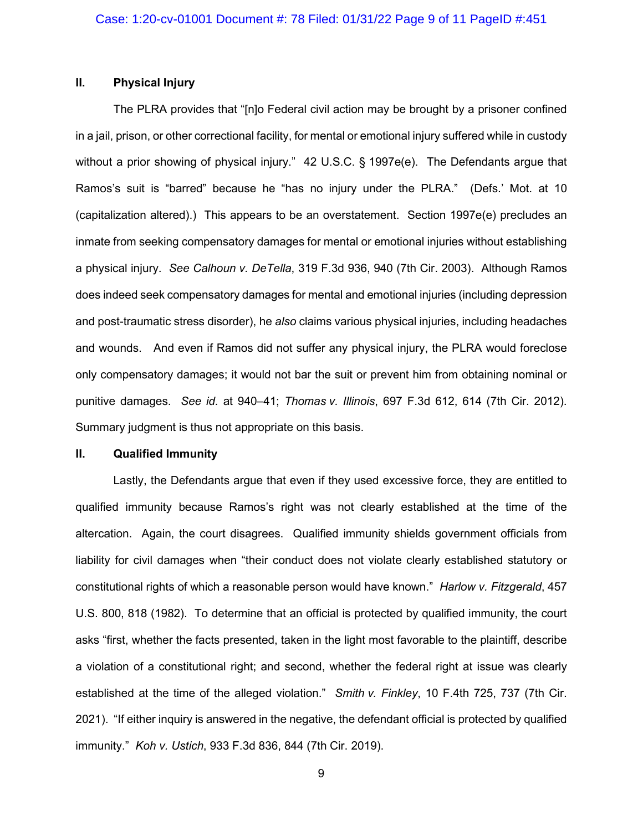# **II. Physical Injury**

The PLRA provides that "[n]o Federal civil action may be brought by a prisoner confined in a jail, prison, or other correctional facility, for mental or emotional injury suffered while in custody without a prior showing of physical injury." 42 U.S.C. § 1997e(e). The Defendants argue that Ramos's suit is "barred" because he "has no injury under the PLRA." (Defs.' Mot. at 10 (capitalization altered).) This appears to be an overstatement. Section 1997e(e) precludes an inmate from seeking compensatory damages for mental or emotional injuries without establishing a physical injury. *See Calhoun v. DeTella*, 319 F.3d 936, 940 (7th Cir. 2003). Although Ramos does indeed seek compensatory damages for mental and emotional injuries (including depression and post-traumatic stress disorder), he *also* claims various physical injuries, including headaches and wounds. And even if Ramos did not suffer any physical injury, the PLRA would foreclose only compensatory damages; it would not bar the suit or prevent him from obtaining nominal or punitive damages. *See id.* at 940–41; *Thomas v. Illinois*, 697 F.3d 612, 614 (7th Cir. 2012). Summary judgment is thus not appropriate on this basis.

### **II. Qualified Immunity**

Lastly, the Defendants argue that even if they used excessive force, they are entitled to qualified immunity because Ramos's right was not clearly established at the time of the altercation. Again, the court disagrees. Qualified immunity shields government officials from liability for civil damages when "their conduct does not violate clearly established statutory or constitutional rights of which a reasonable person would have known." *Harlow v. Fitzgerald*, 457 U.S. 800, 818 (1982). To determine that an official is protected by qualified immunity, the court asks "first, whether the facts presented, taken in the light most favorable to the plaintiff, describe a violation of a constitutional right; and second, whether the federal right at issue was clearly established at the time of the alleged violation." *Smith v. Finkley*, 10 F.4th 725, 737 (7th Cir. 2021). "If either inquiry is answered in the negative, the defendant official is protected by qualified immunity." *Koh v. Ustich*, 933 F.3d 836, 844 (7th Cir. 2019).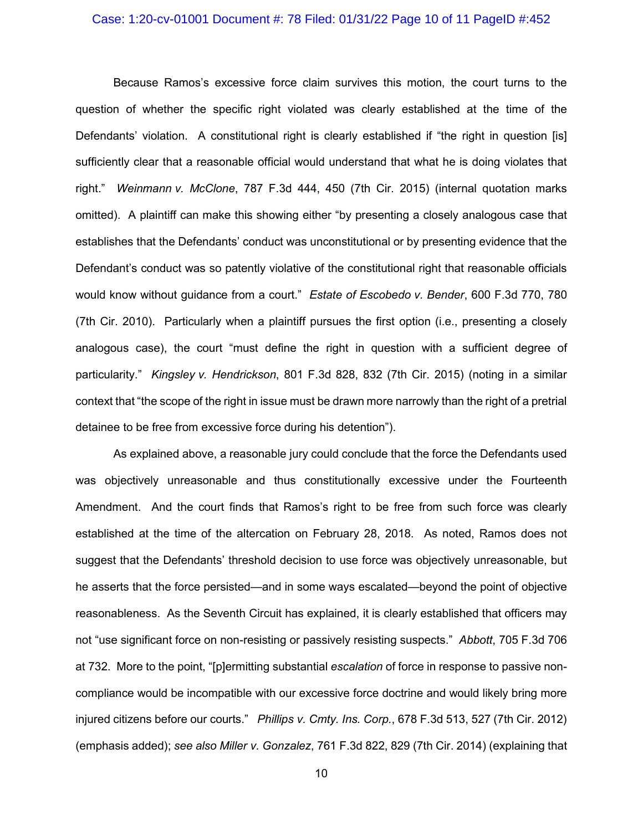# Case: 1:20-cv-01001 Document #: 78 Filed: 01/31/22 Page 10 of 11 PageID #:452

Because Ramos's excessive force claim survives this motion, the court turns to the question of whether the specific right violated was clearly established at the time of the Defendants' violation. A constitutional right is clearly established if "the right in question [is] sufficiently clear that a reasonable official would understand that what he is doing violates that right." *Weinmann v. McClone*, 787 F.3d 444, 450 (7th Cir. 2015) (internal quotation marks omitted). A plaintiff can make this showing either "by presenting a closely analogous case that establishes that the Defendants' conduct was unconstitutional or by presenting evidence that the Defendant's conduct was so patently violative of the constitutional right that reasonable officials would know without guidance from a court." *Estate of Escobedo v. Bender*, 600 F.3d 770, 780 (7th Cir. 2010). Particularly when a plaintiff pursues the first option (i.e., presenting a closely analogous case), the court "must define the right in question with a sufficient degree of particularity." *Kingsley v. Hendrickson*, 801 F.3d 828, 832 (7th Cir. 2015) (noting in a similar context that "the scope of the right in issue must be drawn more narrowly than the right of a pretrial detainee to be free from excessive force during his detention").

As explained above, a reasonable jury could conclude that the force the Defendants used was objectively unreasonable and thus constitutionally excessive under the Fourteenth Amendment. And the court finds that Ramos's right to be free from such force was clearly established at the time of the altercation on February 28, 2018. As noted, Ramos does not suggest that the Defendants' threshold decision to use force was objectively unreasonable, but he asserts that the force persisted—and in some ways escalated—beyond the point of objective reasonableness. As the Seventh Circuit has explained, it is clearly established that officers may not "use significant force on non-resisting or passively resisting suspects." *Abbott*, 705 F.3d 706 at 732. More to the point, "[p]ermitting substantial *escalation* of force in response to passive noncompliance would be incompatible with our excessive force doctrine and would likely bring more injured citizens before our courts." *Phillips v. Cmty. Ins. Corp.*, 678 F.3d 513, 527 (7th Cir. 2012) (emphasis added); *see also Miller v. Gonzalez*, 761 F.3d 822, 829 (7th Cir. 2014) (explaining that